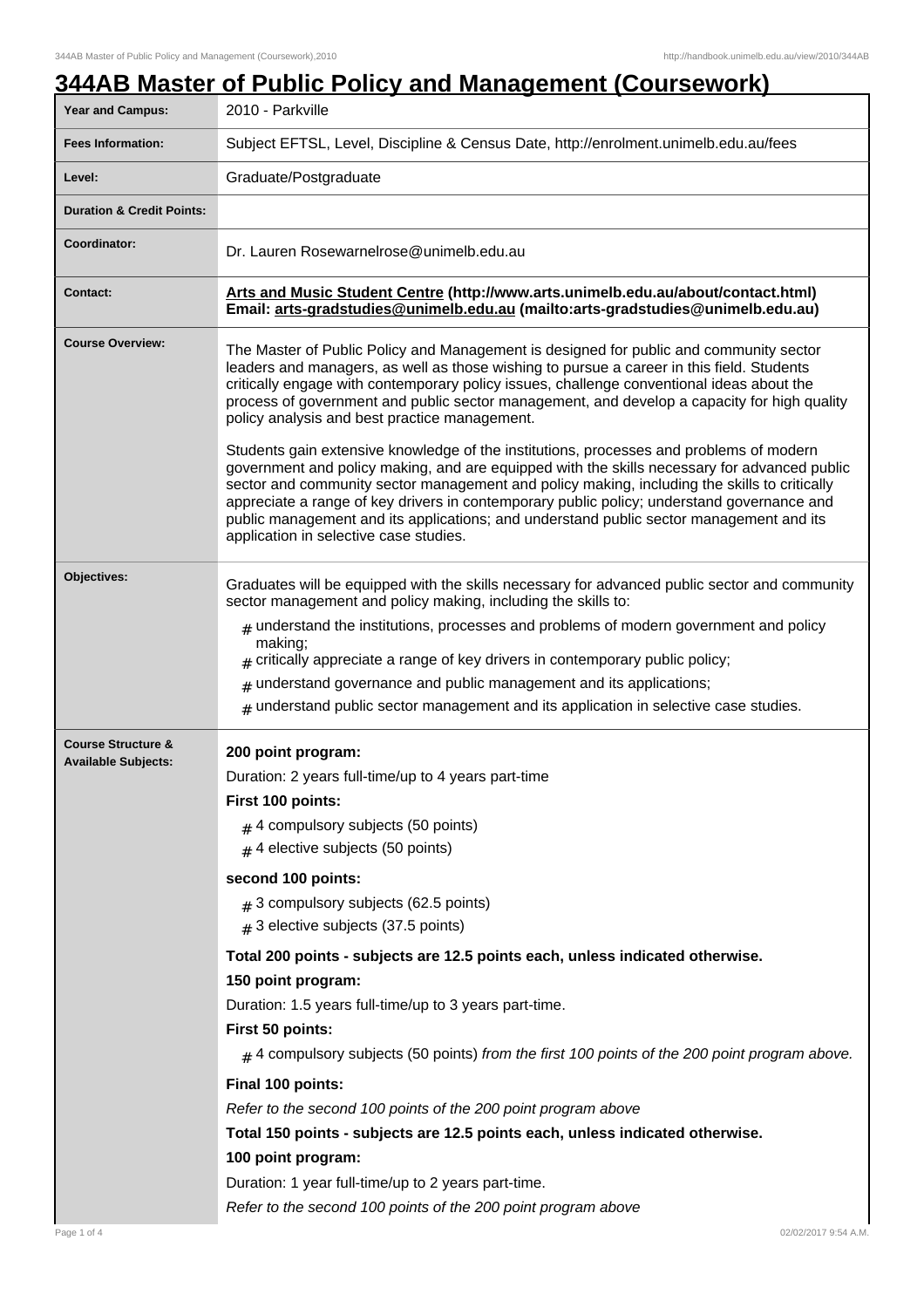|                                                             | <u>344AB Master of Public Policy and Management (Coursework)</u>                                                                                                                                                                                                                                                                                                                                                                                                                                                                                                                                                                                                                                                                                                                                                                                                                                                                                               |
|-------------------------------------------------------------|----------------------------------------------------------------------------------------------------------------------------------------------------------------------------------------------------------------------------------------------------------------------------------------------------------------------------------------------------------------------------------------------------------------------------------------------------------------------------------------------------------------------------------------------------------------------------------------------------------------------------------------------------------------------------------------------------------------------------------------------------------------------------------------------------------------------------------------------------------------------------------------------------------------------------------------------------------------|
| <b>Year and Campus:</b>                                     | 2010 - Parkville                                                                                                                                                                                                                                                                                                                                                                                                                                                                                                                                                                                                                                                                                                                                                                                                                                                                                                                                               |
| <b>Fees Information:</b>                                    | Subject EFTSL, Level, Discipline & Census Date, http://enrolment.unimelb.edu.au/fees                                                                                                                                                                                                                                                                                                                                                                                                                                                                                                                                                                                                                                                                                                                                                                                                                                                                           |
| Level:                                                      | Graduate/Postgraduate                                                                                                                                                                                                                                                                                                                                                                                                                                                                                                                                                                                                                                                                                                                                                                                                                                                                                                                                          |
| <b>Duration &amp; Credit Points:</b>                        |                                                                                                                                                                                                                                                                                                                                                                                                                                                                                                                                                                                                                                                                                                                                                                                                                                                                                                                                                                |
| Coordinator:                                                | Dr. Lauren Rosewarnelrose@unimelb.edu.au                                                                                                                                                                                                                                                                                                                                                                                                                                                                                                                                                                                                                                                                                                                                                                                                                                                                                                                       |
| <b>Contact:</b>                                             | Arts and Music Student Centre (http://www.arts.unimelb.edu.au/about/contact.html)<br>Email: arts-gradstudies@unimelb.edu.au (mailto:arts-gradstudies@unimelb.edu.au)                                                                                                                                                                                                                                                                                                                                                                                                                                                                                                                                                                                                                                                                                                                                                                                           |
| <b>Course Overview:</b>                                     | The Master of Public Policy and Management is designed for public and community sector<br>leaders and managers, as well as those wishing to pursue a career in this field. Students<br>critically engage with contemporary policy issues, challenge conventional ideas about the<br>process of government and public sector management, and develop a capacity for high quality<br>policy analysis and best practice management.<br>Students gain extensive knowledge of the institutions, processes and problems of modern<br>government and policy making, and are equipped with the skills necessary for advanced public<br>sector and community sector management and policy making, including the skills to critically<br>appreciate a range of key drivers in contemporary public policy; understand governance and<br>public management and its applications; and understand public sector management and its<br>application in selective case studies. |
| Objectives:                                                 | Graduates will be equipped with the skills necessary for advanced public sector and community<br>sector management and policy making, including the skills to:<br>$#$ understand the institutions, processes and problems of modern government and policy<br>making;<br>critically appreciate a range of key drivers in contemporary public policy;<br>understand governance and public management and its applications;<br>#<br>$#$ understand public sector management and its application in selective case studies.                                                                                                                                                                                                                                                                                                                                                                                                                                        |
| <b>Course Structure &amp;</b><br><b>Available Subjects:</b> | 200 point program:<br>Duration: 2 years full-time/up to 4 years part-time<br>First 100 points:<br>$#$ 4 compulsory subjects (50 points)<br>$#$ 4 elective subjects (50 points)<br>second 100 points:<br>$#$ 3 compulsory subjects (62.5 points)<br>$#$ 3 elective subjects (37.5 points)<br>Total 200 points - subjects are 12.5 points each, unless indicated otherwise.<br>150 point program:<br>Duration: 1.5 years full-time/up to 3 years part-time.<br>First 50 points:<br>$_{\#}$ 4 compulsory subjects (50 points) from the first 100 points of the 200 point program above.<br>Final 100 points:<br>Refer to the second 100 points of the 200 point program above<br>Total 150 points - subjects are 12.5 points each, unless indicated otherwise.<br>100 point program:<br>Duration: 1 year full-time/up to 2 years part-time.                                                                                                                       |

 $\overline{\phantom{a}}$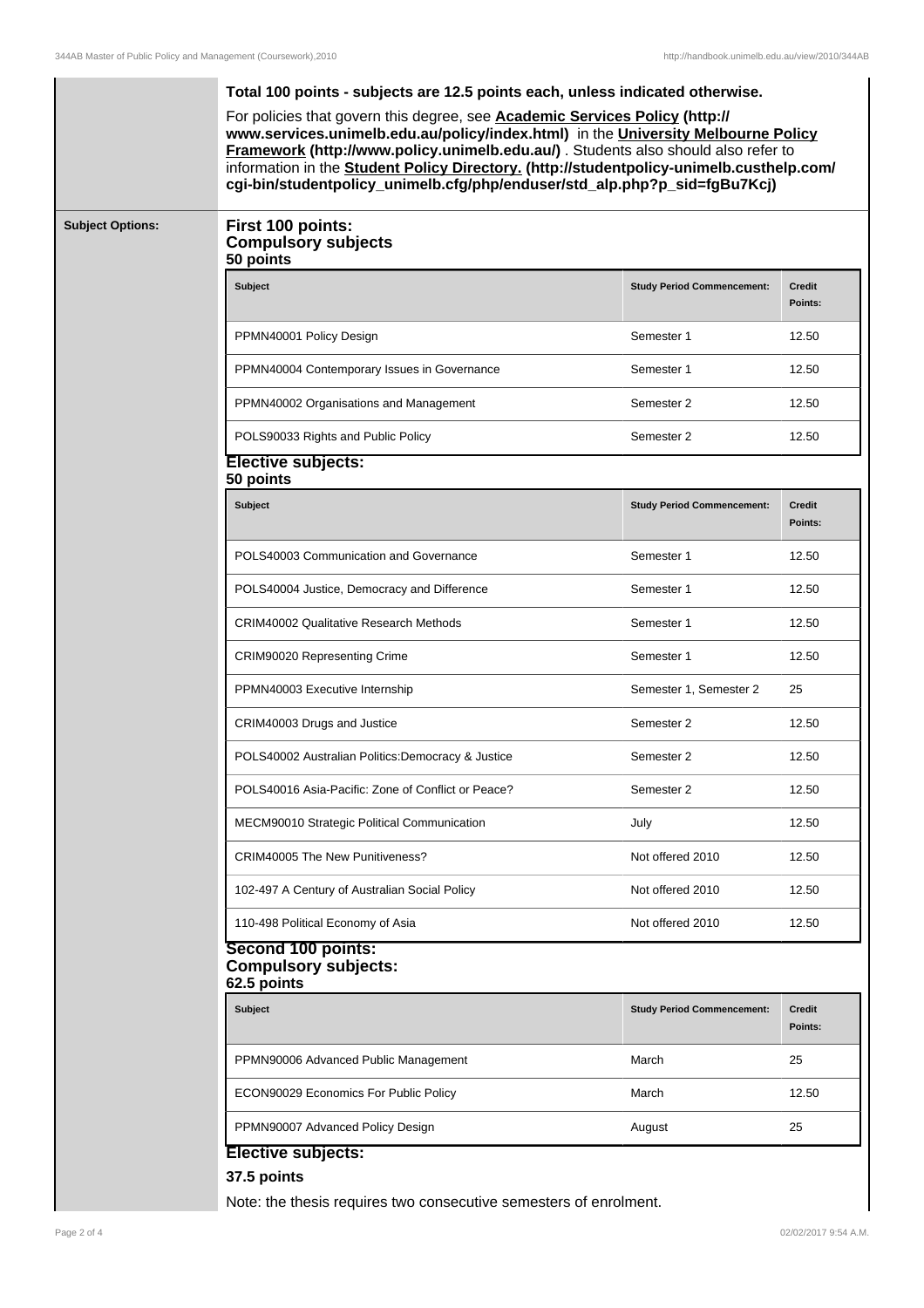l,

|                         | Total 100 points - subjects are 12.5 points each, unless indicated otherwise.<br>For policies that govern this degree, see Academic Services Policy (http://<br>www.services.unimelb.edu.au/policy/index.html) in the University Melbourne Policy<br>Framework (http://www.policy.unimelb.edu.au/) . Students also should also refer to<br>information in the Student Policy Directory. (http://studentpolicy-unimelb.custhelp.com/<br>cgi-bin/studentpolicy_unimelb.cfg/php/enduser/std_alp.php?p_sid=fgBu7Kcj) |                                   |                          |  |
|-------------------------|------------------------------------------------------------------------------------------------------------------------------------------------------------------------------------------------------------------------------------------------------------------------------------------------------------------------------------------------------------------------------------------------------------------------------------------------------------------------------------------------------------------|-----------------------------------|--------------------------|--|
| <b>Subject Options:</b> | First 100 points:<br><b>Compulsory subjects</b><br>50 points                                                                                                                                                                                                                                                                                                                                                                                                                                                     |                                   |                          |  |
|                         | <b>Subject</b>                                                                                                                                                                                                                                                                                                                                                                                                                                                                                                   | <b>Study Period Commencement:</b> | <b>Credit</b><br>Points: |  |
|                         | PPMN40001 Policy Design                                                                                                                                                                                                                                                                                                                                                                                                                                                                                          | Semester 1                        | 12.50                    |  |
|                         | PPMN40004 Contemporary Issues in Governance                                                                                                                                                                                                                                                                                                                                                                                                                                                                      | Semester 1                        | 12.50                    |  |
|                         | PPMN40002 Organisations and Management                                                                                                                                                                                                                                                                                                                                                                                                                                                                           | Semester 2                        | 12.50                    |  |
|                         | POLS90033 Rights and Public Policy                                                                                                                                                                                                                                                                                                                                                                                                                                                                               | Semester 2                        | 12.50                    |  |
|                         | <b>Elective subjects:</b><br>50 points                                                                                                                                                                                                                                                                                                                                                                                                                                                                           |                                   |                          |  |
|                         | <b>Subject</b>                                                                                                                                                                                                                                                                                                                                                                                                                                                                                                   | <b>Study Period Commencement:</b> | <b>Credit</b><br>Points: |  |
|                         | POLS40003 Communication and Governance                                                                                                                                                                                                                                                                                                                                                                                                                                                                           | Semester 1                        | 12.50                    |  |
|                         | POLS40004 Justice, Democracy and Difference                                                                                                                                                                                                                                                                                                                                                                                                                                                                      | Semester 1                        | 12.50                    |  |
|                         | <b>CRIM40002 Qualitative Research Methods</b>                                                                                                                                                                                                                                                                                                                                                                                                                                                                    | Semester 1                        | 12.50                    |  |
|                         | CRIM90020 Representing Crime                                                                                                                                                                                                                                                                                                                                                                                                                                                                                     | Semester 1                        | 12.50                    |  |
|                         | PPMN40003 Executive Internship                                                                                                                                                                                                                                                                                                                                                                                                                                                                                   | Semester 1, Semester 2            | 25                       |  |
|                         | CRIM40003 Drugs and Justice                                                                                                                                                                                                                                                                                                                                                                                                                                                                                      | Semester 2                        | 12.50                    |  |
|                         | POLS40002 Australian Politics: Democracy & Justice                                                                                                                                                                                                                                                                                                                                                                                                                                                               | Semester 2                        | 12.50                    |  |
|                         | POLS40016 Asia-Pacific: Zone of Conflict or Peace?                                                                                                                                                                                                                                                                                                                                                                                                                                                               | Semester 2                        | 12.50                    |  |
|                         | MECM90010 Strategic Political Communication                                                                                                                                                                                                                                                                                                                                                                                                                                                                      | July                              | 12.50                    |  |
|                         | CRIM40005 The New Punitiveness?                                                                                                                                                                                                                                                                                                                                                                                                                                                                                  | Not offered 2010                  | 12.50                    |  |
|                         | 102-497 A Century of Australian Social Policy                                                                                                                                                                                                                                                                                                                                                                                                                                                                    | Not offered 2010                  | 12.50                    |  |
|                         | 110-498 Political Economy of Asia                                                                                                                                                                                                                                                                                                                                                                                                                                                                                | Not offered 2010                  | 12.50                    |  |
|                         | Second 100 points:<br><b>Compulsory subjects:</b><br>62.5 points                                                                                                                                                                                                                                                                                                                                                                                                                                                 |                                   |                          |  |
|                         | <b>Subject</b>                                                                                                                                                                                                                                                                                                                                                                                                                                                                                                   | <b>Study Period Commencement:</b> | <b>Credit</b><br>Points: |  |
|                         | PPMN90006 Advanced Public Management                                                                                                                                                                                                                                                                                                                                                                                                                                                                             | March                             | 25                       |  |
|                         | ECON90029 Economics For Public Policy                                                                                                                                                                                                                                                                                                                                                                                                                                                                            | March                             | 12.50                    |  |
|                         | PPMN90007 Advanced Policy Design                                                                                                                                                                                                                                                                                                                                                                                                                                                                                 | August                            | 25                       |  |

Note: the thesis requires two consecutive semesters of enrolment.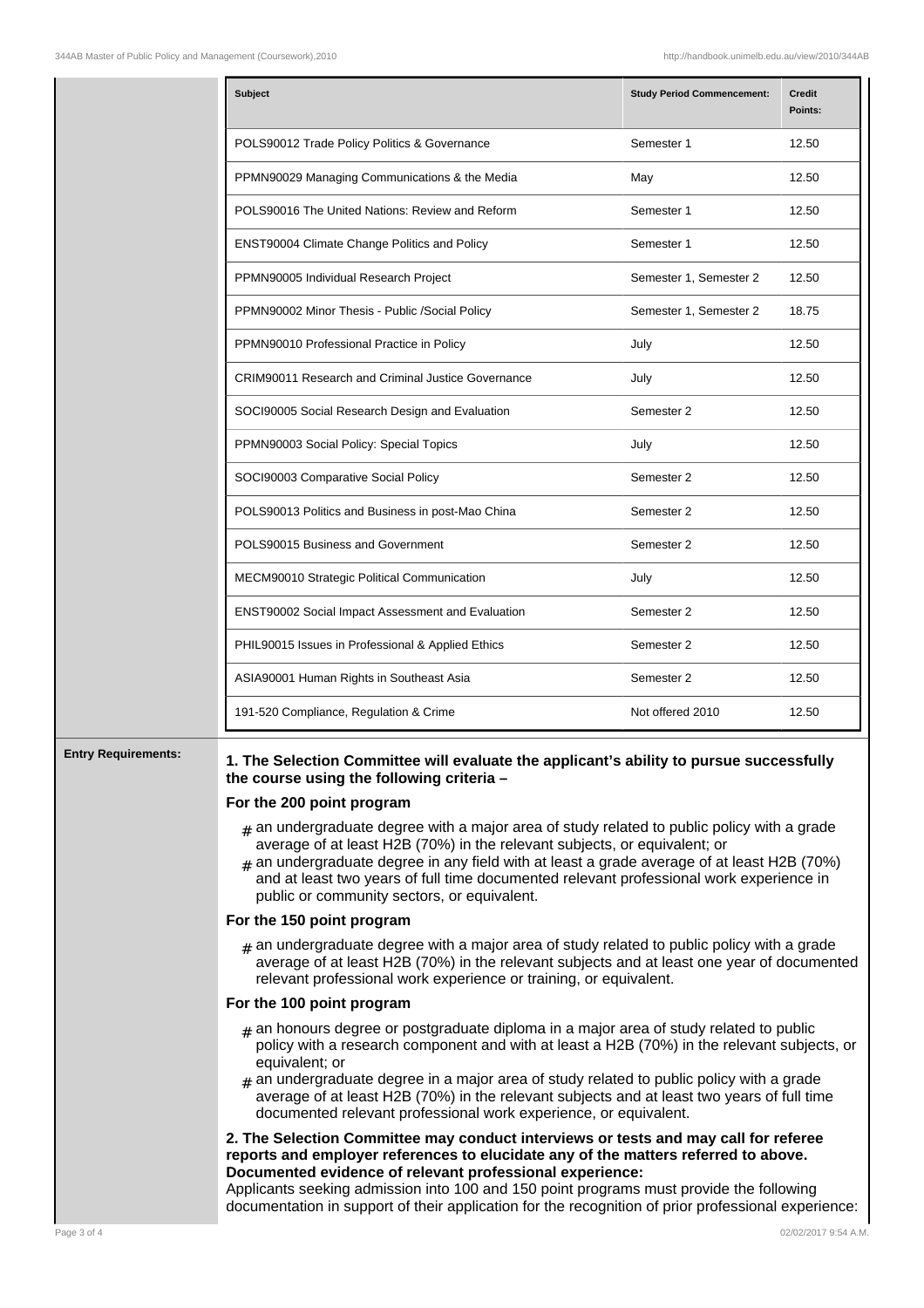| Subject                                                                                                                                                                                                                                                                                                                                                                                                                                                                                                                                                                                                                                                                                                                                                                                                                                | <b>Study Period Commencement:</b> | <b>Credit</b><br>Points:                                          |  |
|----------------------------------------------------------------------------------------------------------------------------------------------------------------------------------------------------------------------------------------------------------------------------------------------------------------------------------------------------------------------------------------------------------------------------------------------------------------------------------------------------------------------------------------------------------------------------------------------------------------------------------------------------------------------------------------------------------------------------------------------------------------------------------------------------------------------------------------|-----------------------------------|-------------------------------------------------------------------|--|
| POLS90012 Trade Policy Politics & Governance                                                                                                                                                                                                                                                                                                                                                                                                                                                                                                                                                                                                                                                                                                                                                                                           | Semester 1                        | 12.50                                                             |  |
| PPMN90029 Managing Communications & the Media                                                                                                                                                                                                                                                                                                                                                                                                                                                                                                                                                                                                                                                                                                                                                                                          | May                               | 12.50                                                             |  |
| POLS90016 The United Nations: Review and Reform                                                                                                                                                                                                                                                                                                                                                                                                                                                                                                                                                                                                                                                                                                                                                                                        | Semester 1                        | 12.50                                                             |  |
| ENST90004 Climate Change Politics and Policy                                                                                                                                                                                                                                                                                                                                                                                                                                                                                                                                                                                                                                                                                                                                                                                           | Semester 1                        | 12.50                                                             |  |
| PPMN90005 Individual Research Project                                                                                                                                                                                                                                                                                                                                                                                                                                                                                                                                                                                                                                                                                                                                                                                                  | Semester 1, Semester 2            | 12.50                                                             |  |
| PPMN90002 Minor Thesis - Public /Social Policy                                                                                                                                                                                                                                                                                                                                                                                                                                                                                                                                                                                                                                                                                                                                                                                         | Semester 1, Semester 2            | 18.75                                                             |  |
| PPMN90010 Professional Practice in Policy                                                                                                                                                                                                                                                                                                                                                                                                                                                                                                                                                                                                                                                                                                                                                                                              | July                              | 12.50                                                             |  |
| <b>CRIM90011 Research and Criminal Justice Governance</b>                                                                                                                                                                                                                                                                                                                                                                                                                                                                                                                                                                                                                                                                                                                                                                              | July                              | 12.50                                                             |  |
| SOCI90005 Social Research Design and Evaluation                                                                                                                                                                                                                                                                                                                                                                                                                                                                                                                                                                                                                                                                                                                                                                                        | Semester 2                        | 12.50                                                             |  |
| PPMN90003 Social Policy: Special Topics                                                                                                                                                                                                                                                                                                                                                                                                                                                                                                                                                                                                                                                                                                                                                                                                | July                              | 12.50                                                             |  |
| SOCI90003 Comparative Social Policy                                                                                                                                                                                                                                                                                                                                                                                                                                                                                                                                                                                                                                                                                                                                                                                                    | Semester 2                        | 12.50                                                             |  |
| POLS90013 Politics and Business in post-Mao China                                                                                                                                                                                                                                                                                                                                                                                                                                                                                                                                                                                                                                                                                                                                                                                      | Semester 2                        | 12.50                                                             |  |
| POLS90015 Business and Government                                                                                                                                                                                                                                                                                                                                                                                                                                                                                                                                                                                                                                                                                                                                                                                                      | Semester 2                        | 12.50                                                             |  |
| MECM90010 Strategic Political Communication                                                                                                                                                                                                                                                                                                                                                                                                                                                                                                                                                                                                                                                                                                                                                                                            | July                              | 12.50                                                             |  |
| ENST90002 Social Impact Assessment and Evaluation                                                                                                                                                                                                                                                                                                                                                                                                                                                                                                                                                                                                                                                                                                                                                                                      | Semester 2                        | 12.50                                                             |  |
| PHIL90015 Issues in Professional & Applied Ethics                                                                                                                                                                                                                                                                                                                                                                                                                                                                                                                                                                                                                                                                                                                                                                                      | Semester 2                        | 12.50                                                             |  |
| ASIA90001 Human Rights in Southeast Asia                                                                                                                                                                                                                                                                                                                                                                                                                                                                                                                                                                                                                                                                                                                                                                                               | Semester 2                        | 12.50                                                             |  |
| 191-520 Compliance, Regulation & Crime                                                                                                                                                                                                                                                                                                                                                                                                                                                                                                                                                                                                                                                                                                                                                                                                 | Not offered 2010                  | 12.50                                                             |  |
| 1. The Selection Committee will evaluate the applicant's ability to pursue successfully<br>the course using the following criteria -<br>For the 200 point program<br>$_{\#}$ an undergraduate degree with a major area of study related to public policy with a grade<br>average of at least H2B (70%) in the relevant subjects, or equivalent; or<br>$_{\text{\#}}$ an undergraduate degree in any field with at least a grade average of at least H2B (70%)<br>and at least two years of full time documented relevant professional work experience in<br>public or community sectors, or equivalent.<br>For the 150 point program<br>$_{\#}$ an undergraduate degree with a major area of study related to public policy with a grade<br>average of at least H2B (70%) in the relevant subjects and at least one year of documented |                                   |                                                                   |  |
| For the 100 point program                                                                                                                                                                                                                                                                                                                                                                                                                                                                                                                                                                                                                                                                                                                                                                                                              |                                   |                                                                   |  |
|                                                                                                                                                                                                                                                                                                                                                                                                                                                                                                                                                                                                                                                                                                                                                                                                                                        |                                   | relevant professional work experience or training, or equivalent. |  |

- # an honours degree or postgraduate diploma in a major area of study related to public policy with a research component and with at least a H2B (70%) in the relevant subjects, or equivalent; or
- # an undergraduate degree in a major area of study related to public policy with a grade average of at least H2B (70%) in the relevant subjects and at least two years of full time documented relevant professional work experience, or equivalent.

## **2. The Selection Committee may conduct interviews or tests and may call for referee reports and employer references to elucidate any of the matters referred to above. Documented evidence of relevant professional experience:**

Applicants seeking admission into 100 and 150 point programs must provide the following documentation in support of their application for the recognition of prior professional experience: